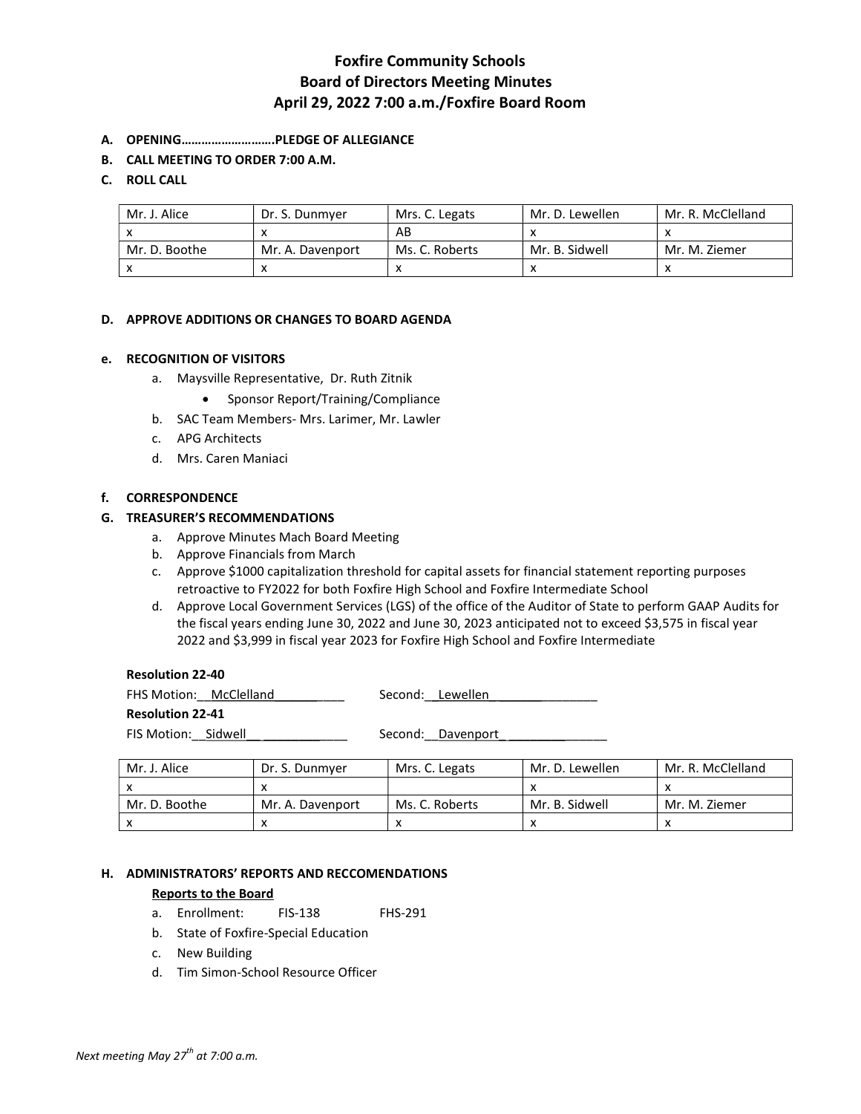## Foxfire Community Schools Board of Directors Meeting Minutes April 29, 2022 7:00 a.m./Foxfire Board Room

- A. OPENING……………………….PLEDGE OF ALLEGIANCE
- B. CALL MEETING TO ORDER 7:00 A.M.

## C. ROLL CALL

| Mr. J. Alice  | Dr. S. Dunmver   | Mrs. C. Legats | Mr. D. Lewellen | Mr. R. McClelland |
|---------------|------------------|----------------|-----------------|-------------------|
|               |                  | AB             |                 |                   |
| Mr. D. Boothe | Mr. A. Davenport | Ms. C. Roberts | Mr. B. Sidwell  | Mr. M. Ziemer     |
|               |                  |                |                 |                   |

## D. APPROVE ADDITIONS OR CHANGES TO BOARD AGENDA

## e. RECOGNITION OF VISITORS

- a. Maysville Representative, Dr. Ruth Zitnik
	- Sponsor Report/Training/Compliance
- b. SAC Team Members- Mrs. Larimer, Mr. Lawler
- c. APG Architects
- d. Mrs. Caren Maniaci

### f. CORRESPONDENCE

### G. TREASURER'S RECOMMENDATIONS

- a. Approve Minutes Mach Board Meeting
- b. Approve Financials from March
- c. Approve \$1000 capitalization threshold for capital assets for financial statement reporting purposes retroactive to FY2022 for both Foxfire High School and Foxfire Intermediate School
- d. Approve Local Government Services (LGS) of the office of the Auditor of State to perform GAAP Audits for the fiscal years ending June 30, 2022 and June 30, 2023 anticipated not to exceed \$3,575 in fiscal year 2022 and \$3,999 in fiscal year 2023 for Foxfire High School and Foxfire Intermediate

### Resolution 22-40

| FHS Motion: McClelland  |  | Second: Lewellen  |
|-------------------------|--|-------------------|
| <b>Resolution 22-41</b> |  |                   |
| FIS Motion: Sidwell     |  | Second: Davenport |

| Mr. J. Alice  | Dr. S. Dunmyer   | Mrs. C. Legats | Mr. D. Lewellen | Mr. R. McClelland |
|---------------|------------------|----------------|-----------------|-------------------|
|               |                  |                |                 |                   |
| Mr. D. Boothe | Mr. A. Davenport | Ms. C. Roberts | Mr. B. Sidwell  | Mr. M. Ziemer     |
|               |                  |                |                 |                   |

## H. ADMINISTRATORS' REPORTS AND RECCOMENDATIONS

#### Reports to the Board

- a. Enrollment: FIS-138 FHS-291
- b. State of Foxfire-Special Education
- c. New Building
- d. Tim Simon-School Resource Officer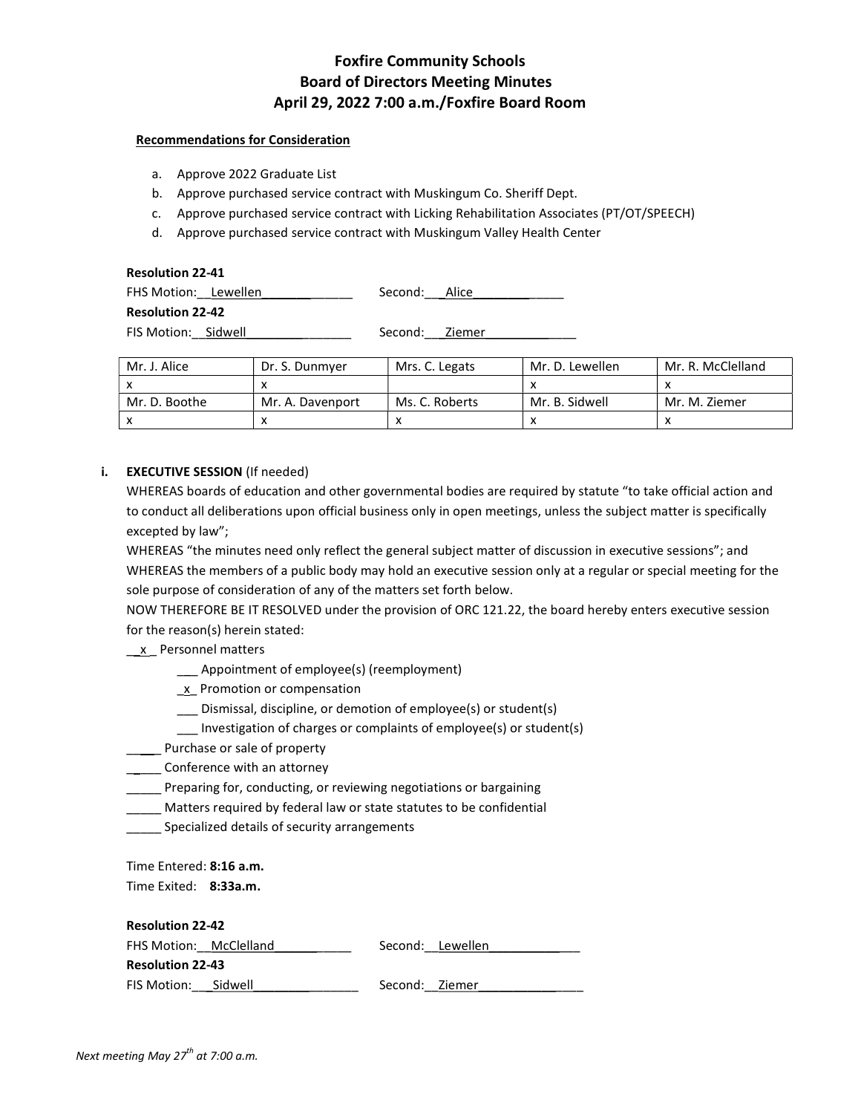## Foxfire Community Schools Board of Directors Meeting Minutes April 29, 2022 7:00 a.m./Foxfire Board Room

### Recommendations for Consideration

- a. Approve 2022 Graduate List
- b. Approve purchased service contract with Muskingum Co. Sheriff Dept.
- c. Approve purchased service contract with Licking Rehabilitation Associates (PT/OT/SPEECH)
- d. Approve purchased service contract with Muskingum Valley Health Center

| <b>Resolution 22-41</b> |                |  |  |  |  |  |
|-------------------------|----------------|--|--|--|--|--|
| FHS Motion: Lewellen    | Second: Alice  |  |  |  |  |  |
| <b>Resolution 22-42</b> |                |  |  |  |  |  |
| FIS Motion: Sidwell     | Second: Ziemer |  |  |  |  |  |

| Mr. J. Alice  | Dr. S. Dunmver   | Mrs. C. Legats | Mr. D. Lewellen | Mr. R. McClelland |
|---------------|------------------|----------------|-----------------|-------------------|
|               |                  |                |                 |                   |
| Mr. D. Boothe | Mr. A. Davenport | Ms. C. Roberts | Mr. B. Sidwell  | Mr. M. Ziemer     |
|               |                  |                |                 |                   |

## i. EXECUTIVE SESSION (If needed)

WHEREAS boards of education and other governmental bodies are required by statute "to take official action and to conduct all deliberations upon official business only in open meetings, unless the subject matter is specifically excepted by law";

WHEREAS "the minutes need only reflect the general subject matter of discussion in executive sessions"; and WHEREAS the members of a public body may hold an executive session only at a regular or special meeting for the sole purpose of consideration of any of the matters set forth below.

NOW THEREFORE BE IT RESOLVED under the provision of ORC 121.22, the board hereby enters executive session for the reason(s) herein stated:

## \_\_x \_ Personnel matters

- \_\_\_ Appointment of employee(s) (reemployment)
- x Promotion or compensation
- \_\_\_ Dismissal, discipline, or demotion of employee(s) or student(s)
- \_\_\_ Investigation of charges or complaints of employee(s) or student(s)
- **\_\_\_\_\_** Purchase or sale of property
- \_\_\_\_\_ Conference with an attorney
- **\_\_\_\_\_** Preparing for, conducting, or reviewing negotiations or bargaining
- Matters required by federal law or state statutes to be confidential
- Specialized details of security arrangements

Time Entered: 8:16 a.m. Time Exited: 8:33a.m.

Resolution 22-42

| RESURGULI 44 44         |  |                |                  |  |  |
|-------------------------|--|----------------|------------------|--|--|
| FHS Motion: McClelland  |  |                | Second: Lewellen |  |  |
| <b>Resolution 22-43</b> |  |                |                  |  |  |
| FIS Motion: Sidwell     |  | Second: Ziemer |                  |  |  |